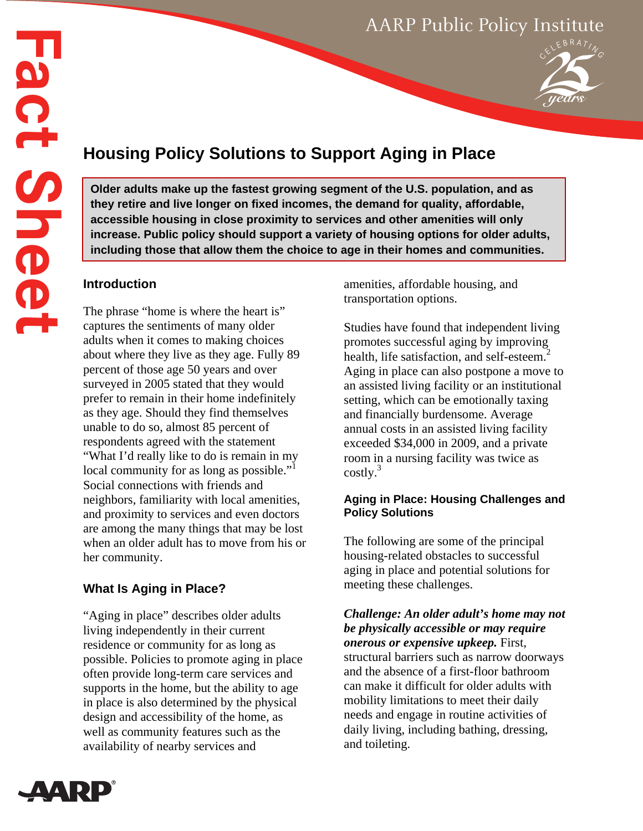# AARP Public Policy Institute



# **Housing Policy Solutions to Support Aging in Place**

**Older adults make up the fastest growing segment of the U.S. population, and as they retire and live longer on fixed incomes, the demand for quality, affordable, accessible housing in close proximity to services and other amenities will only increase. Public policy should support a variety of housing options for older adults, including those that allow them the choice to age in their homes and communities.** 

### **Introduction**

The phrase "home is where the heart is" captures the sentiments of many older adults when it comes to making choices about where they live as they age. Fully 89 percent of those age 50 years and over surveyed in 2005 stated that they would prefer to remain in their home indefinitely as they age. Should they find themselves unable to do so, almost 85 percent of respondents agreed with the statement "What I'd really like to do is remain in my local community for as long as possible."<sup>1</sup> Social connections with friends and neighbors, familiarity with local amenities, and proximity to services and even doctors are among the many things that may be lost when an older adult has to move from his or her community.

## **What Is Aging in Place?**

"Aging in place" describes older adults living independently in their current residence or community for as long as possible. Policies to promote aging in place often provide long-term care services and supports in the home, but the ability to age in place is also determined by the physical design and accessibility of the home, as well as community features such as the availability of nearby services and

amenities, affordable housing, and transportation options.

Studies have found that independent living promotes successful aging by improving health, life satisfaction, and self-esteem.<sup>2</sup> Aging in place can also postpone a move to an assisted living facility or an institutional setting, which can be emotionally taxing and financially burdensome. Average annual costs in an assisted living facility exceeded \$34,000 in 2009, and a private room in a nursing facility was twice as  $costly.<sup>3</sup>$ 

### **Aging in Place: Housing Challenges and Policy Solutions**

The following are some of the principal housing-related obstacles to successful aging in place and potential solutions for meeting these challenges.

*Challenge: An older adult's home may not be physically accessible or may require onerous or expensive upkeep.* First, structural barriers such as narrow doorways and the absence of a first-floor bathroom can make it difficult for older adults with mobility limitations to meet their daily needs and engage in routine activities of daily living, including bathing, dressing, and toileting.

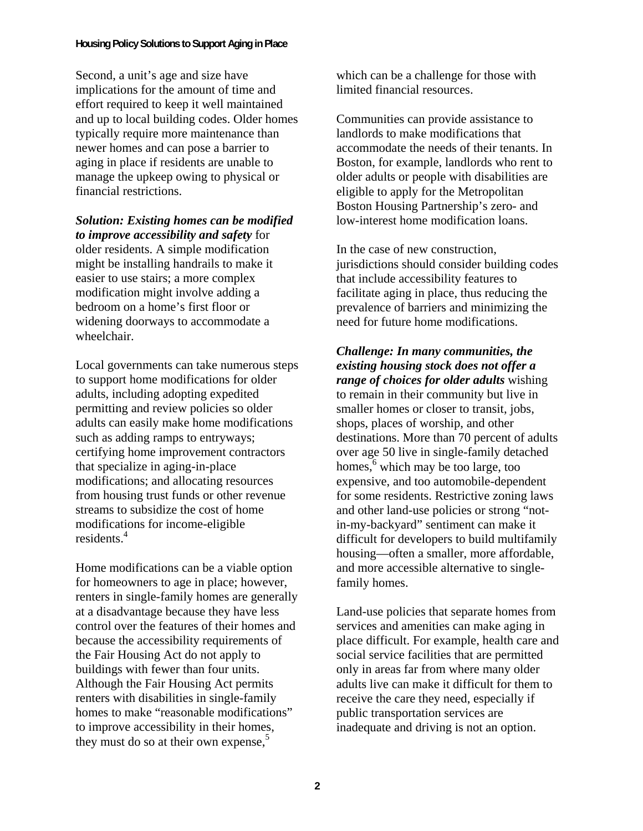Second, a unit's age and size have implications for the amount of time and effort required to keep it well maintained and up to local building codes. Older homes typically require more maintenance than newer homes and can pose a barrier to aging in place if residents are unable to manage the upkeep owing to physical or financial restrictions.

#### *Solution: Existing homes can be modified to improve accessibility and safety* for

older residents. A simple modification might be installing handrails to make it easier to use stairs; a more complex modification might involve adding a bedroom on a home's first floor or widening doorways to accommodate a wheelchair.

Local governments can take numerous steps to support home modifications for older adults, including adopting expedited permitting and review policies so older adults can easily make home modifications such as adding ramps to entryways; certifying home improvement contractors that specialize in aging-in-place modifications; and allocating resources from housing trust funds or other revenue streams to subsidize the cost of home modifications for income-eligible residents.<sup>4</sup>

Home modifications can be a viable option for homeowners to age in place; however, renters in single-family homes are generally at a disadvantage because they have less control over the features of their homes and because the accessibility requirements of the Fair Housing Act do not apply to buildings with fewer than four units. Although the Fair Housing Act permits renters with disabilities in single-family homes to make "reasonable modifications" to improve accessibility in their homes, they must do so at their own expense,<sup>5</sup>

which can be a challenge for those with limited financial resources.

Communities can provide assistance to landlords to make modifications that accommodate the needs of their tenants. In Boston, for example, landlords who rent to older adults or people with disabilities are eligible to apply for the Metropolitan Boston Housing Partnership's zero- and low-interest home modification loans.

In the case of new construction, jurisdictions should consider building codes that include accessibility features to facilitate aging in place, thus reducing the prevalence of barriers and minimizing the need for future home modifications.

*Challenge: In many communities, the existing housing stock does not offer a range of choices for older adults* wishing to remain in their community but live in smaller homes or closer to transit, jobs, shops, places of worship, and other destinations. More than 70 percent of adults over age 50 live in single-family detached homes, $6$  which may be too large, too expensive, and too automobile-dependent for some residents. Restrictive zoning laws and other land-use policies or strong "notin-my-backyard" sentiment can make it difficult for developers to build multifamily housing—often a smaller, more affordable, and more accessible alternative to singlefamily homes.

Land-use policies that separate homes from services and amenities can make aging in place difficult. For example, health care and social service facilities that are permitted only in areas far from where many older adults live can make it difficult for them to receive the care they need, especially if public transportation services are inadequate and driving is not an option.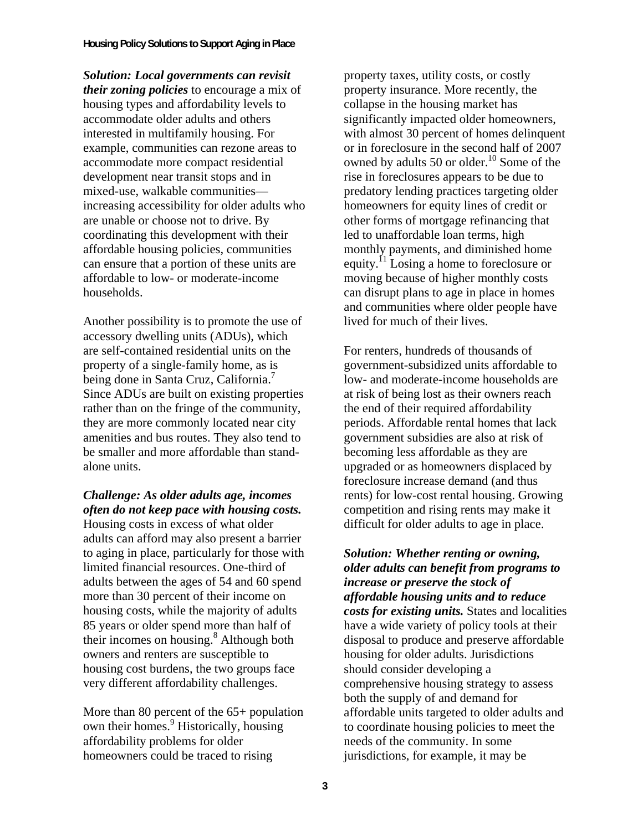*Solution: Local governments can revisit their zoning policies* to encourage a mix of housing types and affordability levels to accommodate older adults and others interested in multifamily housing. For example, communities can rezone areas to accommodate more compact residential development near transit stops and in mixed-use, walkable communities increasing accessibility for older adults who are unable or choose not to drive. By coordinating this development with their affordable housing policies, communities can ensure that a portion of these units are affordable to low- or moderate-income households.

Another possibility is to promote the use of accessory dwelling units (ADUs), which are self-contained residential units on the property of a single-family home, as is being done in Santa Cruz, California.<sup>7</sup> Since ADUs are built on existing properties rather than on the fringe of the community, they are more commonly located near city amenities and bus routes. They also tend to be smaller and more affordable than standalone units.

# *Challenge: As older adults age, incomes often do not keep pace with housing costs.*

Housing costs in excess of what older adults can afford may also present a barrier to aging in place, particularly for those with limited financial resources. One-third of adults between the ages of 54 and 60 spend more than 30 percent of their income on housing costs, while the majority of adults 85 years or older spend more than half of their incomes on housing.<sup>8</sup> Although both owners and renters are susceptible to housing cost burdens, the two groups face very different affordability challenges.

More than 80 percent of the 65+ population own their homes.<sup>9</sup> Historically, housing affordability problems for older homeowners could be traced to rising

property taxes, utility costs, or costly property insurance. More recently, the collapse in the housing market has significantly impacted older homeowners, with almost 30 percent of homes delinquent or in foreclosure in the second half of 2007 owned by adults 50 or older.<sup>10</sup> Some of the rise in foreclosures appears to be due to predatory lending practices targeting older homeowners for equity lines of credit or other forms of mortgage refinancing that led to unaffordable loan terms, high monthly payments, and diminished home equity.11 Losing a home to foreclosure or moving because of higher monthly costs can disrupt plans to age in place in homes and communities where older people have lived for much of their lives.

For renters, hundreds of thousands of government-subsidized units affordable to low- and moderate-income households are at risk of being lost as their owners reach the end of their required affordability periods. Affordable rental homes that lack government subsidies are also at risk of becoming less affordable as they are upgraded or as homeowners displaced by foreclosure increase demand (and thus rents) for low-cost rental housing. Growing competition and rising rents may make it difficult for older adults to age in place.

*Solution: Whether renting or owning, older adults can benefit from programs to increase or preserve the stock of affordable housing units and to reduce costs for existing units.* States and localities have a wide variety of policy tools at their disposal to produce and preserve affordable housing for older adults. Jurisdictions should consider developing a comprehensive housing strategy to assess both the supply of and demand for affordable units targeted to older adults and to coordinate housing policies to meet the needs of the community. In some jurisdictions, for example, it may be